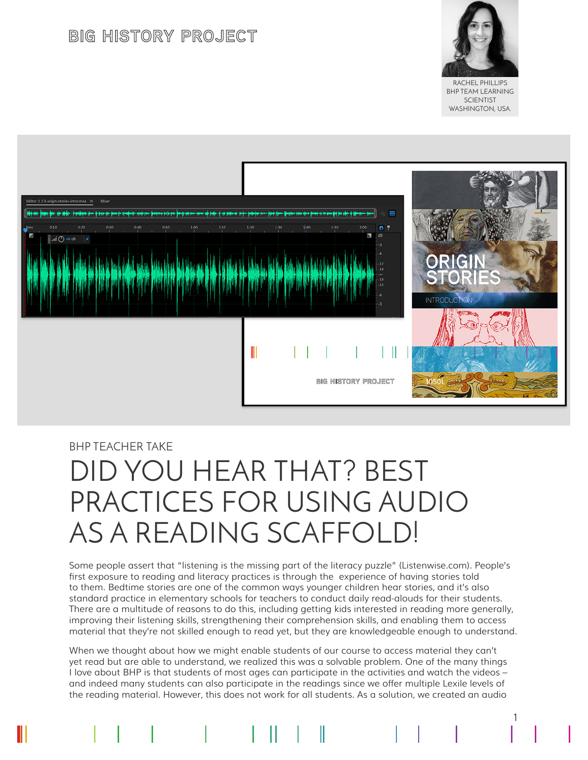## **BIG HISTORY PROJECT**



RACHEL PHILLIPS BHP TEAM LEARNING **SCIENTIST** WASHINGTON, USA.

1



## BHP TEACHER TAKE DID YOU HEAR THAT? BEST PRACTICES FOR USING AUDIO AS A READING SCAFFOLD!

Some people assert that "listening is the missing part of the literacy puzzle" (Listenwise.com). People's first exposure to reading and literacy practices is through the experience of having stories told to them. Bedtime stories are one of the common ways younger children hear stories, and it's also standard practice in elementary schools for teachers to conduct daily read-alouds for their students. There are a multitude of reasons to do this, including getting kids interested in reading more generally, improving their listening skills, strengthening their comprehension skills, and enabling them to access material that they're not skilled enough to read yet, but they are knowledgeable enough to understand.

When we thought about how we might enable students of our course to access material they can't yet read but are able to understand, we realized this was a solvable problem. One of the many things I love about BHP is that students of most ages can participate in the activities and watch the videos – and indeed many students can also participate in the readings since we offer multiple Lexile levels of the reading material. However, this does not work for all students. As a solution, we created an audio